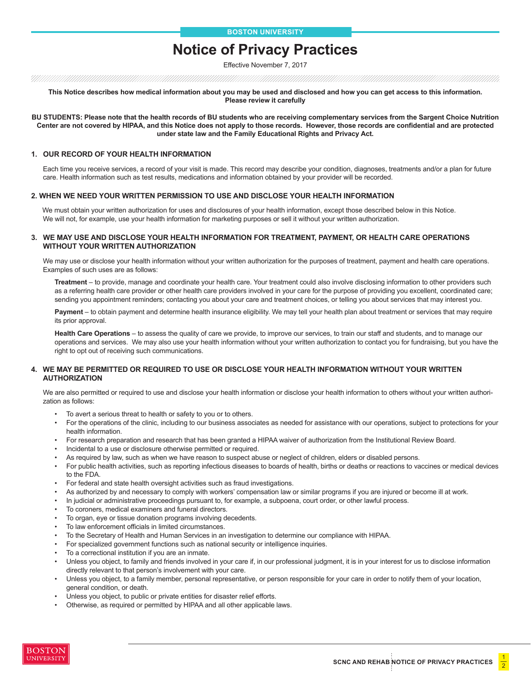# **Notice of Privacy Practices**

Effective November 7, 2017

**This Notice describes how medical information about you may be used and disclosed and how you can get access to this information. Please review it carefully**

**BU STUDENTS: Please note that the health records of BU students who are receiving complementary services from the Sargent Choice Nutrition Center are not covered by HIPAA, and this Notice does not apply to those records. However, those records are confidential and are protected under state law and the Family Educational Rights and Privacy Act.**

#### **1. OUR RECORD OF YOUR HEALTH INFORMATION**

Each time you receive services, a record of your visit is made. This record may describe your condition, diagnoses, treatments and/or a plan for future care. Health information such as test results, medications and information obtained by your provider will be recorded.

#### **2. WHEN WE NEED YOUR WRITTEN PERMISSION TO USE AND DISCLOSE YOUR HEALTH INFORMATION**

 We must obtain your written authorization for uses and disclosures of your health information, except those described below in this Notice. We will not, for example, use your health information for marketing purposes or sell it without your written authorization.

#### **3. WE MAY USE AND DISCLOSE YOUR HEALTH INFORMATION FOR TREATMENT, PAYMENT, OR HEALTH CARE OPERATIONS WITHOUT YOUR WRITTEN AUTHORIZATION**

We may use or disclose your health information without your written authorization for the purposes of treatment, payment and health care operations. Examples of such uses are as follows:

**Treatment** – to provide, manage and coordinate your health care. Your treatment could also involve disclosing information to other providers such as a referring health care provider or other health care providers involved in your care for the purpose of providing you excellent, coordinated care; sending you appointment reminders; contacting you about your care and treatment choices, or telling you about services that may interest you.

**Payment** – to obtain payment and determine health insurance eligibility. We may tell your health plan about treatment or services that may require its prior approval.

**Health Care Operations** – to assess the quality of care we provide, to improve our services, to train our staff and students, and to manage our operations and services. We may also use your health information without your written authorization to contact you for fundraising, but you have the right to opt out of receiving such communications.

#### **4. WE MAY BE PERMITTED OR REQUIRED TO USE OR DISCLOSE YOUR HEALTH INFORMATION WITHOUT YOUR WRITTEN AUTHORIZATION**

We are also permitted or required to use and disclose your health information or disclose your health information to others without your written authorization as follows:

- To avert a serious threat to health or safety to you or to others.
- For the operations of the clinic, including to our business associates as needed for assistance with our operations, subject to protections for your health information.
- For research preparation and research that has been granted a HIPAA waiver of authorization from the Institutional Review Board.
- Incidental to a use or disclosure otherwise permitted or required.
- As required by law, such as when we have reason to suspect abuse or neglect of children, elders or disabled persons.
- For public health activities, such as reporting infectious diseases to boards of health, births or deaths or reactions to vaccines or medical devices to the FDA.
- For federal and state health oversight activities such as fraud investigations.
- As authorized by and necessary to comply with workers' compensation law or similar programs if you are injured or become ill at work.
- In judicial or administrative proceedings pursuant to, for example, a subpoena, court order, or other lawful process.
- To coroners, medical examiners and funeral directors.
- To organ, eye or tissue donation programs involving decedents.
- To law enforcement officials in limited circumstances.
- To the Secretary of Health and Human Services in an investigation to determine our compliance with HIPAA.
- For specialized government functions such as national security or intelligence inquiries.
- To a correctional institution if you are an inmate.
- Unless you object, to family and friends involved in your care if, in our professional judgment, it is in your interest for us to disclose information directly relevant to that person's involvement with your care.
- Unless you object, to a family member, personal representative, or person responsible for your care in order to notify them of your location, general condition, or death.
- Unless you object, to public or private entities for disaster relief efforts.
- Otherwise, as required or permitted by HIPAA and all other applicable laws.